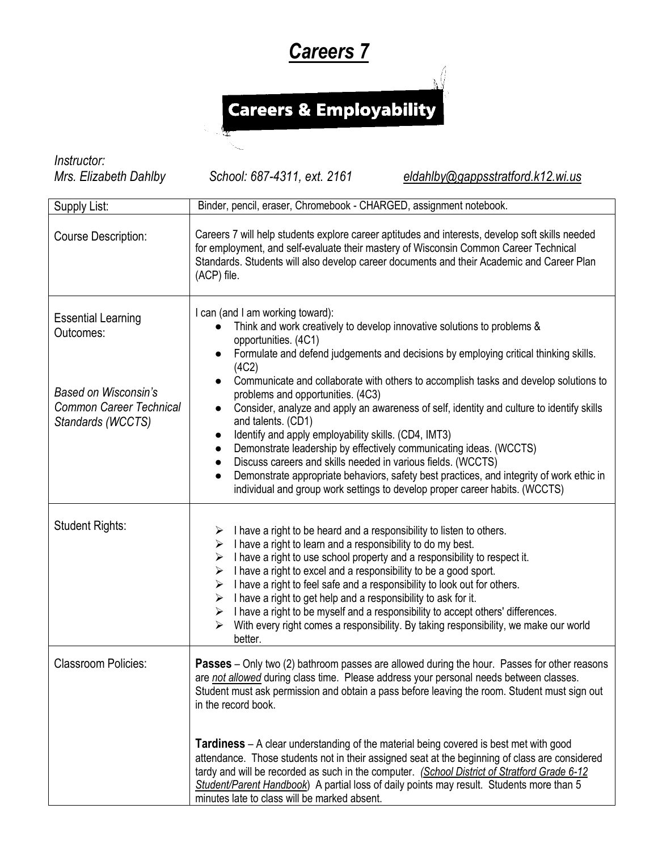## *Careers 7*

## Careers & Employability

*Instructor:* 

*Mrs. Elizabeth Dahlby School: 687-4311, ext. 2161 [eldahlby@gappsstratford.k12.wi.us](mailto:eldahlby@gappsstratford.k12.wi.us)*

| Supply List:                                                                                                          | Binder, pencil, eraser, Chromebook - CHARGED, assignment notebook.                                                                                                                                                                                                                                                                                                                                                                                                                                                                                                                                                                                                                                                                                                                                                                                                                                                                          |
|-----------------------------------------------------------------------------------------------------------------------|---------------------------------------------------------------------------------------------------------------------------------------------------------------------------------------------------------------------------------------------------------------------------------------------------------------------------------------------------------------------------------------------------------------------------------------------------------------------------------------------------------------------------------------------------------------------------------------------------------------------------------------------------------------------------------------------------------------------------------------------------------------------------------------------------------------------------------------------------------------------------------------------------------------------------------------------|
| <b>Course Description:</b>                                                                                            | Careers 7 will help students explore career aptitudes and interests, develop soft skills needed<br>for employment, and self-evaluate their mastery of Wisconsin Common Career Technical<br>Standards. Students will also develop career documents and their Academic and Career Plan<br>(ACP) file.                                                                                                                                                                                                                                                                                                                                                                                                                                                                                                                                                                                                                                         |
| <b>Essential Learning</b><br>Outcomes:<br>Based on Wisconsin's<br><b>Common Career Technical</b><br>Standards (WCCTS) | I can (and I am working toward):<br>Think and work creatively to develop innovative solutions to problems &<br>$\bullet$<br>opportunities. (4C1)<br>Formulate and defend judgements and decisions by employing critical thinking skills.<br>(4C2)<br>Communicate and collaborate with others to accomplish tasks and develop solutions to<br>$\bullet$<br>problems and opportunities. (4C3)<br>Consider, analyze and apply an awareness of self, identity and culture to identify skills<br>$\bullet$<br>and talents. (CD1)<br>Identify and apply employability skills. (CD4, IMT3)<br>$\bullet$<br>Demonstrate leadership by effectively communicating ideas. (WCCTS)<br>$\bullet$<br>Discuss careers and skills needed in various fields. (WCCTS)<br>$\bullet$<br>Demonstrate appropriate behaviors, safety best practices, and integrity of work ethic in<br>individual and group work settings to develop proper career habits. (WCCTS) |
| <b>Student Rights:</b>                                                                                                | I have a right to be heard and a responsibility to listen to others.<br>➤<br>I have a right to learn and a responsibility to do my best.<br>➤<br>I have a right to use school property and a responsibility to respect it.<br>➤<br>I have a right to excel and a responsibility to be a good sport.<br>➤<br>I have a right to feel safe and a responsibility to look out for others.<br>➤<br>I have a right to get help and a responsibility to ask for it.<br>➤<br>I have a right to be myself and a responsibility to accept others' differences.<br>➤<br>With every right comes a responsibility. By taking responsibility, we make our world<br>➤<br>better.                                                                                                                                                                                                                                                                            |
| <b>Classroom Policies:</b>                                                                                            | <b>Passes</b> – Only two (2) bathroom passes are allowed during the hour. Passes for other reasons<br>are not allowed during class time. Please address your personal needs between classes.<br>Student must ask permission and obtain a pass before leaving the room. Student must sign out<br>in the record book.<br><b>Tardiness</b> – A clear understanding of the material being covered is best met with good<br>attendance. Those students not in their assigned seat at the beginning of class are considered<br>tardy and will be recorded as such in the computer. (School District of Stratford Grade 6-12<br>Student/Parent Handbook) A partial loss of daily points may result. Students more than 5<br>minutes late to class will be marked absent.                                                                                                                                                                           |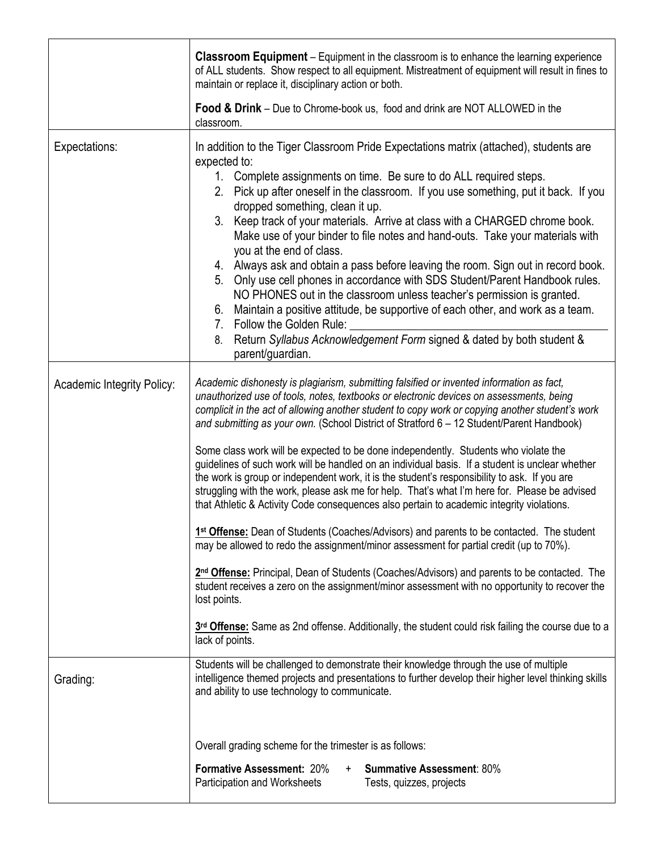|                                   | <b>Classroom Equipment</b> – Equipment in the classroom is to enhance the learning experience<br>of ALL students. Show respect to all equipment. Mistreatment of equipment will result in fines to<br>maintain or replace it, disciplinary action or both.                                                                                                                                                                                                                                                                                                                                                                                                                                                                                                                                                                                                                                                                                                                                                                                                                                                                                                                                                                                                                                                                                                                                                               |
|-----------------------------------|--------------------------------------------------------------------------------------------------------------------------------------------------------------------------------------------------------------------------------------------------------------------------------------------------------------------------------------------------------------------------------------------------------------------------------------------------------------------------------------------------------------------------------------------------------------------------------------------------------------------------------------------------------------------------------------------------------------------------------------------------------------------------------------------------------------------------------------------------------------------------------------------------------------------------------------------------------------------------------------------------------------------------------------------------------------------------------------------------------------------------------------------------------------------------------------------------------------------------------------------------------------------------------------------------------------------------------------------------------------------------------------------------------------------------|
|                                   | <b>Food &amp; Drink</b> – Due to Chrome-book us, food and drink are NOT ALLOWED in the<br>classroom.                                                                                                                                                                                                                                                                                                                                                                                                                                                                                                                                                                                                                                                                                                                                                                                                                                                                                                                                                                                                                                                                                                                                                                                                                                                                                                                     |
| Expectations:                     | In addition to the Tiger Classroom Pride Expectations matrix (attached), students are<br>expected to:<br>1. Complete assignments on time. Be sure to do ALL required steps.<br>2. Pick up after oneself in the classroom. If you use something, put it back. If you<br>dropped something, clean it up.<br>3. Keep track of your materials. Arrive at class with a CHARGED chrome book.<br>Make use of your binder to file notes and hand-outs. Take your materials with<br>you at the end of class.<br>4. Always ask and obtain a pass before leaving the room. Sign out in record book.<br>Only use cell phones in accordance with SDS Student/Parent Handbook rules.<br>5.<br>NO PHONES out in the classroom unless teacher's permission is granted.<br>6. Maintain a positive attitude, be supportive of each other, and work as a team.<br>7. Follow the Golden Rule:<br>Return Syllabus Acknowledgement Form signed & dated by both student &<br>8.<br>parent/guardian.                                                                                                                                                                                                                                                                                                                                                                                                                                             |
| <b>Academic Integrity Policy:</b> | Academic dishonesty is plagiarism, submitting falsified or invented information as fact,<br>unauthorized use of tools, notes, textbooks or electronic devices on assessments, being<br>complicit in the act of allowing another student to copy work or copying another student's work<br>and submitting as your own. (School District of Stratford 6 - 12 Student/Parent Handbook)<br>Some class work will be expected to be done independently. Students who violate the<br>guidelines of such work will be handled on an individual basis. If a student is unclear whether<br>the work is group or independent work, it is the student's responsibility to ask. If you are<br>struggling with the work, please ask me for help. That's what I'm here for. Please be advised<br>that Athletic & Activity Code consequences also pertain to academic integrity violations.<br>1st Offense: Dean of Students (Coaches/Advisors) and parents to be contacted. The student<br>may be allowed to redo the assignment/minor assessment for partial credit (up to 70%).<br>2 <sup>nd</sup> Offense: Principal, Dean of Students (Coaches/Advisors) and parents to be contacted. The<br>student receives a zero on the assignment/minor assessment with no opportunity to recover the<br>lost points.<br>3rd Offense: Same as 2nd offense. Additionally, the student could risk failing the course due to a<br>lack of points. |
| Grading:                          | Students will be challenged to demonstrate their knowledge through the use of multiple<br>intelligence themed projects and presentations to further develop their higher level thinking skills<br>and ability to use technology to communicate.                                                                                                                                                                                                                                                                                                                                                                                                                                                                                                                                                                                                                                                                                                                                                                                                                                                                                                                                                                                                                                                                                                                                                                          |
|                                   | Overall grading scheme for the trimester is as follows:<br>Formative Assessment: 20%<br><b>Summative Assessment: 80%</b><br>$+$<br>Participation and Worksheets<br>Tests, quizzes, projects                                                                                                                                                                                                                                                                                                                                                                                                                                                                                                                                                                                                                                                                                                                                                                                                                                                                                                                                                                                                                                                                                                                                                                                                                              |